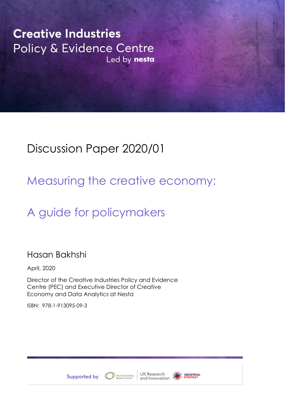**Creative Industries** Policy & Evidence Centre Led by nesta

# Discussion Paper 2020/01

# Measuring the creative economy:

# A guide for policymakers

# Hasan Bakhshi

April, 2020

Director of the Creative Industries Policy and Evidence Centre (PEC) and Executive Director of Creative Economy and Data Analytics at Nesta

ISBN: 978-1-913095-09-3







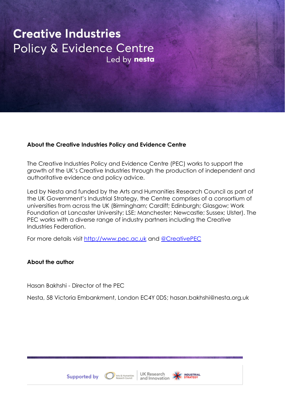# **Creative Industries** Policy & Evidence Centre Led by nesta

# **About the Creative Industries Policy and Evidence Centre**

The Creative Industries Policy and Evidence Centre (PEC) works to support the growth of the UK's Creative Industries through the production of independent and authoritative evidence and policy advice.

Led by Nesta and funded by the Arts and Humanities Research Council as part of the UK Government's Industrial Strategy, the Centre comprises of a consortium of universities from across the UK (Birmingham; Cardiff; Edinburgh; Glasgow; Work Foundation at Lancaster University; LSE; Manchester; Newcastle; Sussex; Ulster). The PEC works with a diverse range of industry partners including the Creative Industries Federation.

For more details visit [http://www.pec.ac.uk](http://www.pec.ac.uk/) and [@CreativePEC](http://www.twitter.com/creativePEC)

# **About the author**

Hasan Bakhshi - Director of the PEC

Nesta, 58 Victoria Embankment, London EC4Y 0DS; hasan.bakhshi@nesta.org.uk



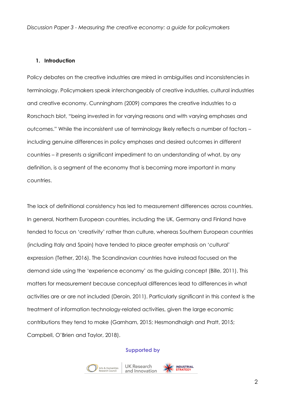# **1. Introduction**

Policy debates on the creative industries are mired in ambiguities and inconsistencies in terminology. Policymakers speak interchangeably of creative industries, cultural industries and creative economy. Cunningham (2009) compares the creative industries to a Rorschach blot, "being invested in for varying reasons and with varying emphases and outcomes." While the inconsistent use of terminology likely reflects a number of factors including genuine differences in policy emphases and desired outcomes in different countries – it presents a significant impediment to an understanding of what, by any definition, is a segment of the economy that is becoming more important in many countries.

The lack of definitional consistency has led to measurement differences across countries. In general, Northern European countries, including the UK, Germany and Finland have tended to focus on 'creativity' rather than culture, whereas Southern European countries (including Italy and Spain) have tended to place greater emphasis on 'cultural' expression (Tether, 2016). The Scandinavian countries have instead focused on the demand side using the 'experience economy' as the guiding concept (Bille, 2011). This matters for measurement because conceptual differences lead to differences in what activities are or are not included (Deroin, 2011). Particularly significant in this context is the treatment of information technology-related activities, given the large economic contributions they tend to make (Garnham, 2015; Hesmondhalgh and Pratt, 2015; Campbell, O'Brien and Taylor, 2018).





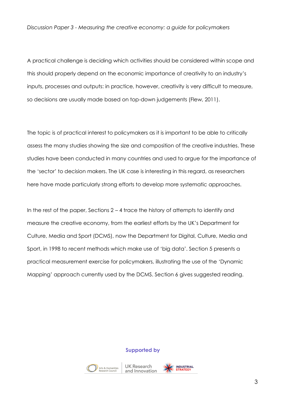A practical challenge is deciding which activities should be considered within scope and this should properly depend on the economic importance of creativity to an industry's inputs, processes and outputs: in practice, however, creativity is very difficult to measure, so decisions are usually made based on top-down judgements (Flew, 2011).

The topic is of practical interest to policymakers as it is important to be able to critically assess the many studies showing the size and composition of the creative industries. These studies have been conducted in many countries and used to argue for the importance of the 'sector' to decision makers. The UK case is interesting in this regard, as researchers here have made particularly strong efforts to develop more systematic approaches.

In the rest of the paper, Sections  $2 - 4$  trace the history of attempts to identify and measure the creative economy, from the earliest efforts by the UK's Department for Culture, Media and Sport (DCMS), now the Department for Digital, Culture, Media and Sport, in 1998 to recent methods which make use of 'big data'. Section 5 presents a practical measurement exercise for policymakers, illustrating the use of the 'Dynamic Mapping' approach currently used by the DCMS. Section 6 gives suggested reading.

#### **Supported by**



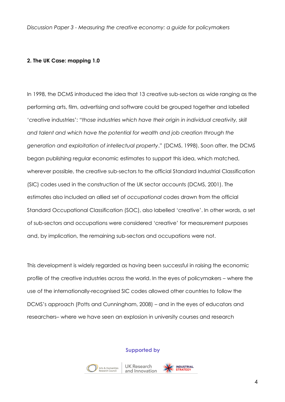# **2. The UK Case: mapping 1.0**

In 1998, the DCMS introduced the idea that 13 creative sub-sectors as wide ranging as the performing arts, film, advertising and software could be grouped together and labelled 'creative industries': *"those industries which have their origin in individual creativity, skill and talent and which have the potential for wealth and job creation through the generation and exploitation of intellectual property*." (DCMS, 1998). Soon after, the DCMS began publishing regular economic estimates to support this idea, which matched, wherever possible, the creative sub-sectors to the official Standard Industrial Classification (SIC) codes used in the construction of the UK sector accounts (DCMS, 2001). The estimates also included an allied set of *occupational* codes drawn from the official Standard Occupational Classification (SOC), also labelled 'creative'. In other words, a set of sub-sectors and occupations were considered 'creative' for measurement purposes and, by implication, the remaining sub-sectors and occupations were not.

This development is widely regarded as having been successful in raising the economic profile of the creative industries across the world. In the eyes of policymakers – where the use of the internationally-recognised SIC codes allowed other countries to follow the DCMS's approach (Potts and Cunningham, 2008) – and in the eyes of educators and researchers– where we have seen an explosion in university courses and research

#### **Supported by**



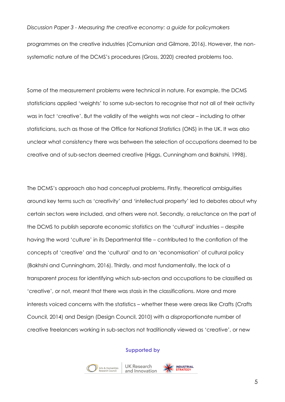programmes on the creative industries (Comunian and Gilmore, 2016). However, the nonsystematic nature of the DCMS's procedures (Gross, 2020) created problems too.

Some of the measurement problems were technical in nature. For example, the DCMS statisticians applied 'weights' to some sub-sectors to recognise that not all of their activity was in fact 'creative'. But the validity of the weights was not clear – including to other statisticians, such as those at the Office for National Statistics (ONS) in the UK. It was also unclear what consistency there was between the selection of occupations deemed to be creative and of sub-sectors deemed creative (Higgs, Cunningham and Bakhshi, 1998).

The DCMS's approach also had conceptual problems. Firstly, theoretical ambiguities around key terms such as 'creativity' and 'intellectual property' led to debates about why certain sectors were included, and others were not. Secondly, a reluctance on the part of the DCMS to publish separate economic statistics on the 'cultural' industries – despite having the word 'culture' in its Departmental title – contributed to the conflation of the concepts of 'creative' and the 'cultural' and to an 'economisation' of cultural policy (Bakhshi and Cunningham, 2016). Thirdly, and most fundamentally, the lack of a transparent *process* for identifying which sub-sectors and occupations to be classified as 'creative', or not, meant that there was stasis in the classifications. More and more interests voiced concerns with the statistics – whether these were areas like Crafts (Crafts Council, 2014) and Design (Design Council, 2010) with a disproportionate number of creative freelancers working in sub-sectors not traditionally viewed as 'creative', or new





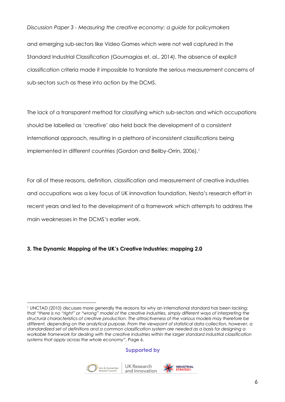and emerging sub-sectors like Video Games which were not well captured in the Standard Industrial Classification (Goumagias et. al., 2014). The absence of explicit classification criteria made it impossible to translate the serious measurement concerns of sub-sectors such as these into action by the DCMS.

The lack of a transparent method for classifying which sub-sectors and which occupations should be labelled as 'creative' also held back the development of a consistent international approach, resulting in a plethora of inconsistent classifications being implemented in different countries (Gordon and Beilby-Orrin, 2006).<sup>1</sup>

For all of these reasons, definition, classification and measurement of creative industries and occupations was a key focus of UK innovation foundation, Nesta's research effort in recent years and led to the development of a framework which attempts to address the main weaknesses in the DCMS's earlier work.

# **3. The Dynamic Mapping of the UK's Creative Industries: mapping 2.0**

# **Supported by**





<sup>1</sup> UNCTAD (2010) discusses more generally the reasons for why an international standard has been lacking: that *"there is no "right" or "wrong" model of the creative industries, simply different ways of interpreting the structural characteristics of creative production. The attractiveness of the various models may therefore be different, depending on the analytical purpose. From the viewpoint of statistical data collection, however, a standardized set of definitions and a common classification system are needed as a basis for designing a workable framework for dealing with the creative industries within the larger standard industrial classification systems that apply across the whole economy*". Page 6.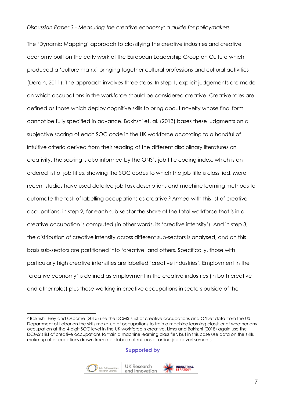The 'Dynamic Mapping' approach to classifying the creative industries and creative economy built on the early work of the European Leadership Group on Culture which produced a 'culture matrix' bringing together cultural professions and cultural activities (Deroin, 2011). The approach involves three steps. In step 1, explicit judgements are made on which occupations in the workforce should be considered creative. Creative roles are defined as those which deploy cognitive skills to bring about novelty whose final form cannot be fully specified in advance. Bakhshi et. al. (2013) bases these judgments on a subjective scoring of each SOC code in the UK workforce according to a handful of intuitive criteria derived from their reading of the different disciplinary literatures on creativity. The scoring is also informed by the ONS's job title coding index, which is an ordered list of job titles, showing the SOC codes to which the job title is classified. More recent studies have used detailed job task descriptions and machine learning methods to automate the task of labelling occupations as creative.<sup>2</sup> Armed with this list of creative occupations, in step 2, for each sub-sector the share of the total workforce that is in a creative occupation is computed (in other words, its 'creative intensity'). And in step 3, the distribution of creative intensity across different sub-sectors is analysed, and on this basis sub-sectors are partitioned into 'creative' and others. Specifically, those with particularly high creative intensities are labelled 'creative industries'. Employment in the 'creative economy' is defined as employment in the creative industries (in both creative and other roles) plus those working in creative occupations in sectors outside of the

#### **Supported by**





<sup>2</sup> Bakhshi, Frey and Osborne (2015) use the DCMS's list of creative occupations and O\*Net data from the US Department of Labor on the skills make-up of occupations to train a machine learning classifier of whether any occupation at the 4-digit SOC level in the UK workforce is creative. Lima and Bakhshi (2018) again use the DCMS's list of creative occupations to train a machine learning classifier, but in this case use data on the skills make-up of occupations drawn from a database of millions of online job advertisements.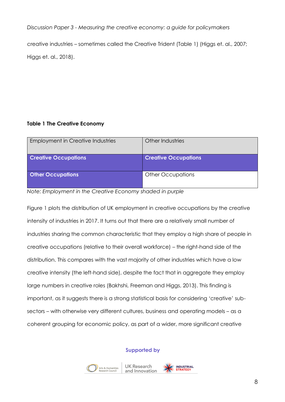creative industries – sometimes called the Creative Trident (Table 1) (Higgs et. al., 2007; Higgs et. al., 2018).

# **Table 1 The Creative Economy**

| <b>Employment in Creative Industries</b> | Other Industries            |
|------------------------------------------|-----------------------------|
| <b>Creative Occupations</b>              | <b>Creative Occupations</b> |
| <b>Other Occupations</b>                 | <b>Other Occupations</b>    |

*Note: Employment in the Creative Economy shaded in purple*

Figure 1 plots the distribution of UK employment in creative occupations by the creative intensity of industries in 2017. It turns out that there are a relatively small number of industries sharing the common characteristic that they employ a high share of people in creative occupations (relative to their overall workforce) – the right-hand side of the distribution. This compares with the vast majority of other industries which have a low creative intensity (the left-hand side), despite the fact that in aggregate they employ large numbers in creative roles (Bakhshi, Freeman and Higgs, 2013). This finding is important, as it suggests there is a strong statistical basis for considering 'creative' subsectors – with otherwise very different cultures, business and operating models – as a coherent grouping for economic policy, as part of a wider, more significant creative

# **Supported by**



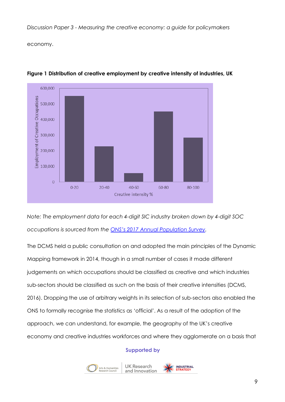economy.



**Figure 1 Distribution of creative employment by creative intensity of industries, UK**

*Note: The employment data for each 4-digit SIC industry broken down by 4-digit SOC occupations is sourced from the [ONS's 2017 Annual Population Survey](https://www.ons.gov.uk/employmentandlabourmarket/peopleinwork/employmentandemployeetypes/adhocs/008889fourandfivedigitindustrysiccrossreferencedwithfourdigitoccupationsocjanuarytodecember2017).*

The DCMS held a public consultation on and adopted the main principles of the Dynamic Mapping framework in 2014, though in a small number of cases it made different judgements on which occupations should be classified as creative and which industries sub-sectors should be classified as such on the basis of their creative intensities (DCMS, 2016). Dropping the use of arbitrary weights in its selection of sub-sectors also enabled the ONS to formally recognise the statistics as 'official'. As a result of the adoption of the approach, we can understand, for example, the geography of the UK's creative economy and creative industries workforces and where they agglomerate on a basis that

# **Supported by**

**UK Research** 



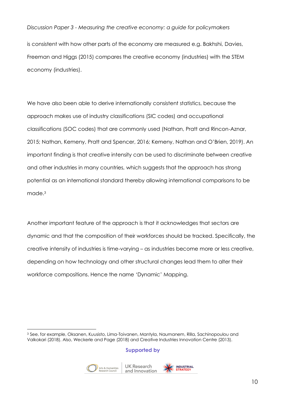is consistent with how other parts of the economy are measured e.g. Bakhshi, Davies, Freeman and Higgs (2015) compares the creative economy (industries) with the STEM economy (industries).

We have also been able to derive internationally consistent statistics, because the approach makes use of industry classifications (SIC codes) and occupational classifications (SOC codes) that are commonly used (Nathan, Pratt and Rincon-Aznar, 2015; Nathan, Kemeny, Pratt and Spencer, 2016; Kemeny, Nathan and O'Brien, 2019). An important finding is that creative intensity can be used to discriminate between creative and other industries in many countries, which suggests that the approach has strong potential as an international standard thereby allowing international comparisons to be made.<sup>3</sup>

Another important feature of the approach is that it acknowledges that sectors are dynamic and that the composition of their workforces should be tracked. Specifically, the creative intensity of industries is time-varying – as industries become more or less creative, depending on how technology and other structural changes lead them to alter their workforce compositions. Hence the name 'Dynamic' Mapping.

# **Supported by**





<sup>3</sup> See, for example, Oksanen, Kuusisto, Lima-Toivanen, Mantyla, Naumanem, Rilla, Sachinopoulou and Valkokari (2018). Also, Weckerle and Page (2018) and Creative Industries Innovation Centre (2013).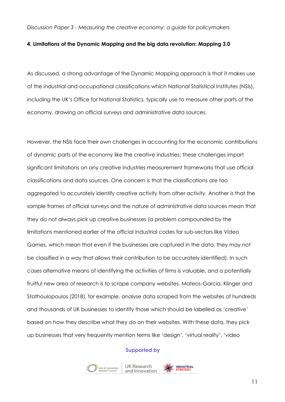# **4. Limitations of the Dynamic Mapping and the big data revolution: Mapping 3.0**

As discussed, a strong advantage of the Dynamic Mapping approach is that it makes use of the industrial and occupational classifications which National Statistical Institutes (NSIs), including the UK's Office for National Statistics, typically use to measure other parts of the economy, drawing on official surveys and administrative data sources.

However, the NSIs face their own challenges in accounting for the economic contributions of dynamic parts of the economy like the creative industries; these challenges impart significant limitations on any creative industries measurement frameworks that use official classifications and data sources. One concern is that the classifications are too aggregated to accurately identify creative activity from other activity. Another is that the sample frames of official surveys and the nature of administrative data sources mean that they do not always pick up creative businesses (a problem compounded by the limitations mentioned earlier of the official industrial codes for sub-sectors like Video Games, which mean that even if the businesses are captured in the data, they may not be classified in a way that allows their contribution to be accurately identified). In such cases alternative means of identifying the activities of firms is valuable, and a potentially fruitful new area of research is to scrape company websites. Mateos-Garcia, Klinger and Stathoulopoulos (2018), for example, analyse data scraped from the websites of hundreds and thousands of UK businesses to identify those which should be labelled as 'creative' based on how they describe what they do on their websites. With these data, they pick up businesses that very frequently mention terms like 'design', 'virtual reality', 'video

#### **Supported by**





**INDUSTRIAL**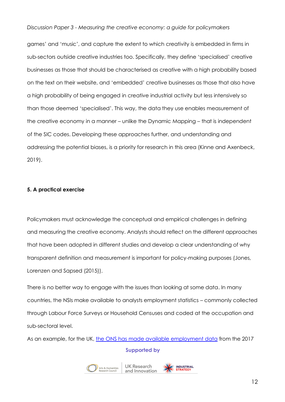games' and 'music', and capture the extent to which creativity is embedded in firms in sub-sectors outside creative industries too. Specifically, they define 'specialised' creative businesses as those that should be characterised as creative with a high probability based on the text on their website, and 'embedded' creative businesses as those that also have a high probability of being engaged in creative industrial activity but less intensively so than those deemed 'specialised'. This way, the data they use enables measurement of the creative economy in a manner – unlike the Dynamic Mapping – that is independent of the SIC codes. Developing these approaches further, and understanding and addressing the potential biases, is a priority for research in this area (Kinne and Axenbeck, 2019).

# **5. A practical exercise**

Policymakers must acknowledge the conceptual and empirical challenges in defining and measuring the creative economy. Analysts should reflect on the different approaches that have been adopted in different studies and develop a clear understanding of why transparent definition and measurement is important for policy-making purposes (Jones, Lorenzen and Sapsed (2015)).

There is no better way to engage with the issues than looking at some data. In many countries, the NSIs make available to analysts employment statistics – commonly collected through Labour Force Surveys or Household Censuses and coded at the occupation and sub-sectoral level.

**Supported by**  As an example, for the UK, [the ONS has made available employment data](https://www.ons.gov.uk/employmentandlabourmarket/peopleinwork/employmentandemployeetypes/adhocs/008889fourandfivedigitindustrysiccrossreferencedwithfourdigitoccupationsocjanuarytodecember2017) from the 2017





**INDUSTRIAL**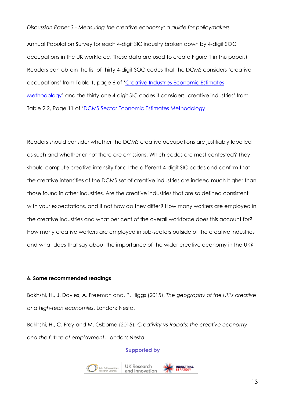Annual Population Survey for each 4-digit SIC industry broken down by 4-digit SOC occupations in the UK workforce. These data are used to create Figure 1 in this paper.) Readers can obtain the list of thirty 4-digit SOC codes that the DCMS considers 'creative occupations' from Table 1, page 6 of '[Creative Industries Economic Estimates](https://assets.publishing.service.gov.uk/government/uploads/system/uploads/attachment_data/file/499683/CIEE_Methodology.pdf)  [Methodology](https://assets.publishing.service.gov.uk/government/uploads/system/uploads/attachment_data/file/499683/CIEE_Methodology.pdf)' and the thirty-one 4-digit SIC codes it considers 'creative industries' from Table 2.2, Page 11 of '[DCMS Sector Economic Estimates Methodology](https://assets.publishing.service.gov.uk/government/uploads/system/uploads/attachment_data/file/778360/DCMS_Sectors_Economic_Estimates_-_Methodology.pd)'.

Readers should consider whether the DCMS creative occupations are justifiably labelled as such and whether or not there are omissions. Which codes are most contested? They should compute creative intensity for all the different 4-digit SIC codes and confirm that the creative intensities of the DCMS set of creative industries are indeed much higher than those found in other industries. Are the creative industries that are so defined consistent with your expectations, and if not how do they differ? How many workers are employed in the creative industries and what per cent of the overall workforce does this account for? How many creative workers are employed in sub-sectors outside of the creative industries and what does that say about the importance of the wider creative economy in the UK?

# **6. Some recommended readings**

Bakhshi, H., J. Davies, A. Freeman and, P. Higgs (2015), *The geography of the UK's creative and high-tech economies*, London: Nesta.

Bakhshi, H., C. Frey and M. Osborne (2015), *Creativity vs Robots: the creative economy and the future of employment*, London: Nesta.



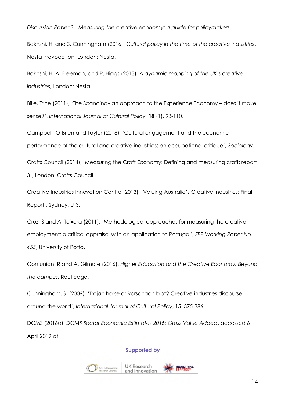Bakhshi, H. and S. Cunningham (2016), *Cultural policy in the time of the creative industries*, Nesta Provocation, London: Nesta.

Bakhshi, H, A. Freeman, and P. Higgs (2013), *A dynamic mapping of the UK's creative industries*, London: Nesta.

Bille, Trine (2011), 'The Scandinavian approach to the Experience Economy – does it make sense?', *International Journal of Cultural Policy,* **18** (1), 93-110.

Campbell, O'Brien and Taylor (2018), 'Cultural engagement and the economic performance of the cultural and creative industries: an occupational critique', *Sociology*.

Crafts Council (2014), 'Measuring the Craft Economy: Defining and measuring craft: report 3', London: Crafts Council.

Creative Industries Innovation Centre (2013), 'Valuing Australia's Creative Industries: Final Report', Sydney: UTS.

Cruz, S and A. Teixera (2011), 'Methodological approaches for measuring the creative employment: a critical appraisal with an application to Portugal', *FEP Working Paper No. 455*, University of Porto.

Comunian, R and A. Gilmore (2016), *Higher Education and the Creative Economy: Beyond the campus*, Routledge.

Cunningham, S. (2009), 'Trojan horse or Rorschach blot? Creative industries discourse around the world', *International Journal of Cultural Policy*, 15: 375-386.

DCMS (2016a), *DCMS Sector Economic Estimates 2016: Gross Value Added*, accessed 6 April 2019 at





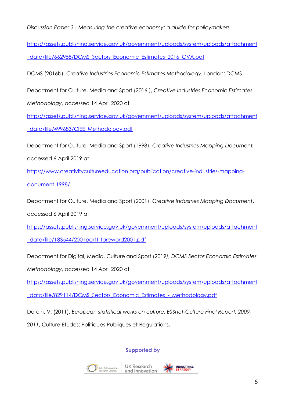[https://assets.publishing.service.gov.uk/government/uploads/system/uploads/attachment](https://assets.publishing.service.gov.uk/government/uploads/system/uploads/attachment_data/file/662958/DCMS_Sectors_Economic_Estimates_2016_GVA.pdf) [\\_data/file/662958/DCMS\\_Sectors\\_Economic\\_Estimates\\_2016\\_GVA.pdf](https://assets.publishing.service.gov.uk/government/uploads/system/uploads/attachment_data/file/662958/DCMS_Sectors_Economic_Estimates_2016_GVA.pdf)

DCMS (2016b), *Creative Industries Economic Estimates Methodology*, London: DCMS.

Department for Culture, Media and Sport (2016 ), *Creative Industries Economic Estimates* 

*Methodology*, accessed 14 April 2020 at

[https://assets.publishing.service.gov.uk/government/uploads/system/uploads/attachment](https://assets.publishing.service.gov.uk/government/uploads/system/uploads/attachment_data/file/499683/CIEE_Methodology.pdf) [\\_data/file/499683/CIEE\\_Methodology.pdf](https://assets.publishing.service.gov.uk/government/uploads/system/uploads/attachment_data/file/499683/CIEE_Methodology.pdf)

Department for Culture, Media and Sport (1998), *Creative Industries Mapping Document,*

accessed 6 April 2019 at

[https://www.creativitycultureeducation.org/publication/creative-industries-mapping](https://www.creativitycultureeducation.org/publication/creative-industries-mapping-document-1998/)[document-1998/.](https://www.creativitycultureeducation.org/publication/creative-industries-mapping-document-1998/)

Department for Culture, Media and Sport (2001), *Creative Industries Mapping Document*,

accessed 6 April 2019 at

[https://assets.publishing.service.gov.uk/government/uploads/system/uploads/attachment](https://assets.publishing.service.gov.uk/government/uploads/system/uploads/attachment_data/file/183544/2001part1-foreword2001.pdf)

[\\_data/file/183544/2001part1-foreword2001.pdf](https://assets.publishing.service.gov.uk/government/uploads/system/uploads/attachment_data/file/183544/2001part1-foreword2001.pdf)

Department for Digital, Media, Culture and Sport (2019*), DCMS Sector Economic Estimates* 

*Methodology*, accessed 14 April 2020 at

[https://assets.publishing.service.gov.uk/government/uploads/system/uploads/attachment](https://assets.publishing.service.gov.uk/government/uploads/system/uploads/attachment_data/file/829114/DCMS_Sectors_Economic_Estimates_-_Methodology.pdf)

[\\_data/file/829114/DCMS\\_Sectors\\_Economic\\_Estimates\\_-\\_Methodology.pdf](https://assets.publishing.service.gov.uk/government/uploads/system/uploads/attachment_data/file/829114/DCMS_Sectors_Economic_Estimates_-_Methodology.pdf)

Deroin, V. (2011), *European statistical works on culture: ESSnet-Culture Final Report, 2009-*

*2011*, Culture Etudes: Politiques Publiques et Regulations.



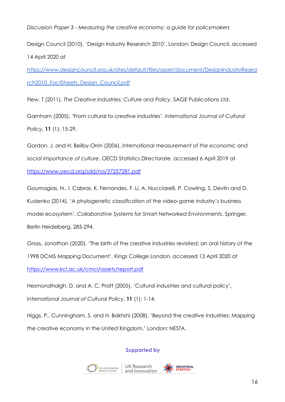Design Council (2010), 'Design Industry Research 2010', London: Design Council, accessed 14 April 2020 at

[https://www.designcouncil.org.uk/sites/default/files/asset/document/DesignIndustryResea](https://www.designcouncil.org.uk/sites/default/files/asset/document/DesignIndustryResearch2010_FactSheets_Design_Council.pdf) [rch2010\\_FactSheets\\_Design\\_Council.pdf](https://www.designcouncil.org.uk/sites/default/files/asset/document/DesignIndustryResearch2010_FactSheets_Design_Council.pdf)

Flew, T (2011), *The Creative Industries: Culture and Policy*, SAGE Publications Ltd.

Garnham (2005), 'From cultural to creative industries', *International Journal of Cultural Policy*, **11** (1): 15-29.

Gordon, J. and H. Beilby-Orrin (2006), *International measurement of the economic and social importance of culture*, OECD Statistics Directorate, accessed 6 April 2019 at <https://www.oecd.org/sdd/na/37257281.pdf>

Goumagias, N., I. Cabras, K. Fernandes, F. Li, A. Nucciarelli, P. Cowling, S. Devlin and D. Kudenko (2014), 'A phylogenetic classification of the video-game industry's business model ecosystem', *Collaborative Systems for Smart Networked Environments*, Springer, Berlin Heidelberg, 285-294.

Gross, Jonathan (2020), 'The birth of the creative industries revisited: an oral history of the 1998 DCMS Mapping Document', Kings College London, accessed 13 April 2020 at <https://www.kcl.ac.uk/cmci/assets/report.pdf>

Hesmondhalgh, D. and A. C. Pratt (2005), 'Cultural industries and cultural policy', *International Journal of Cultural Policy*, **11** (1): 1-14.

Higgs, P., Cunningham, S. and H. Bakhshi (2008), 'Beyond the creative industries: Mapping the creative economy in the United Kingdom,' London: NESTA.

# **Supported by**





**INDUSTRIAL**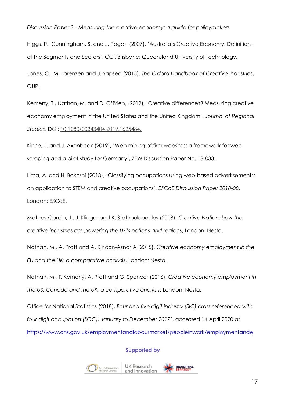Higgs, P., Cunningham, S. and J. Pagan (2007), 'Australia's Creative Economy: Definitions of the Segments and Sectors', CCI, Brisbane: Queensland University of Technology.

Jones, C., M. Lorenzen and J. Sapsed (2015), *The Oxford Handbook of Creative Industries*, OUP.

Kemeny, T., Nathan, M. and D. O'Brien, (2019), 'Creative differences? Measuring creative economy employment in the United States and the United Kingdom', *Journal of Regional Studies*, DOI: [10.1080/00343404.2019.1625484.](https://doi.org/10.1080/00343404.2019.1625484)

Kinne, J. and J. Axenbeck (2019), 'Web mining of firm websites: a framework for web scraping and a pilot study for Germany', ZEW Discussion Paper No. 18-033.

Lima, A. and H. Bakhshi (2018), 'Classifying occupations using web-based advertisements: an application to STEM and creative occupations', *ESCoE Discussion Paper 2018-08*, London: ESCoE.

Mateos-Garcia, J., J. Klinger and K. Stathoulopoulos (2018), *Creative Nation: how the creative industries are powering the UK's nations and regions*, London: Nesta.

Nathan, M., A. Pratt and A. Rincon-Aznar A (2015), *Creative economy employment in the EU and the UK: a comparative analysis*, London: Nesta.

Nathan, M., T. Kemeny, A. Pratt and G. Spencer (2016), *Creative economy employment in the US, Canada and the UK: a comparative analysis*, London: Nesta.

Office for National Statistics (2018), *Four and five digit industry (SIC) cross referenced with four digit occupation (SOC), January to December 2017'*, accessed 14 April 2020 at [https://www.ons.gov.uk/employmentandlabourmarket/peopleinwork/employmentande](https://www.ons.gov.uk/employmentandlabourmarket/peopleinwork/employmentandemployeetypes/adhocs/008889fourandfivedigitindustrysiccrossreferencedwithfourdigitoccupationsocjanuarytodecember2017)



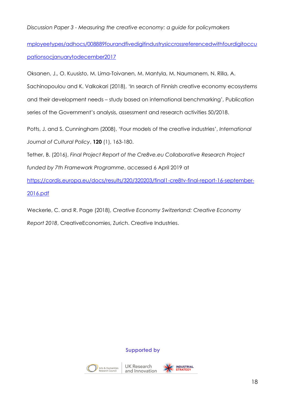[mployeetypes/adhocs/008889fourandfivedigitindustrysiccrossreferencedwithfourdigitoccu](https://www.ons.gov.uk/employmentandlabourmarket/peopleinwork/employmentandemployeetypes/adhocs/008889fourandfivedigitindustrysiccrossreferencedwithfourdigitoccupationsocjanuarytodecember2017) [pationsocjanuarytodecember2017](https://www.ons.gov.uk/employmentandlabourmarket/peopleinwork/employmentandemployeetypes/adhocs/008889fourandfivedigitindustrysiccrossreferencedwithfourdigitoccupationsocjanuarytodecember2017)

Oksanen, J., O. Kuusisto, M. Lima-Toivanen, M. Mantyla, M. Naumanem, N. Rilla, A.

Sachinopoulou and K. Valkokari (2018), 'In search of Finnish creative economy ecosystems and their development needs – study based on international benchmarking', Publication series of the Government's analysis, assessment and research activities 50/2018.

Potts, J. and S. Cunningham (2008), 'Four models of the creative industries', *International Journal of Cultural Policy*, **120** (1), 163-180.

Tether, B. (2016), *Final Project Report of the Cre8ve.eu Collaborative Research Project* 

*funded by 7th Framework Programme*, accessed 6 April 2019 at

[https://cordis.europa.eu/docs/results/320/320203/final1-cre8tv-final-report-16-september-](https://cordis.europa.eu/docs/results/320/320203/final1-cre8tv-final-report-16-september-2016.pdf)[2016.pdf](https://cordis.europa.eu/docs/results/320/320203/final1-cre8tv-final-report-16-september-2016.pdf)

Weckerle, C. and R. Page (2018), *Creative Economy Switzerland: Creative Economy Report 2018*, CreativeEconomies, Zurich. Creative Industries.

# **Supported by**